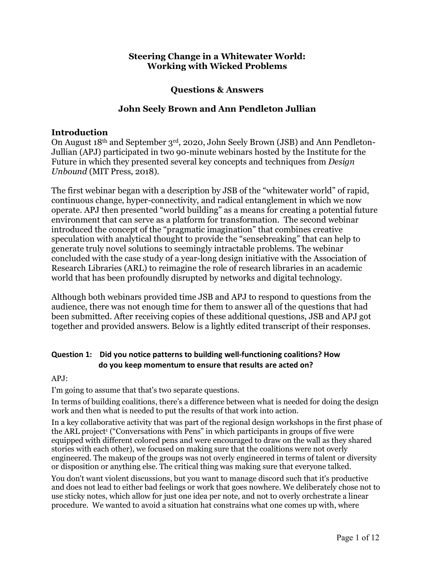# **Steering Change in a Whitewater World: Working with Wicked Problems**

# **Questions & Answers**

# **John Seely Brown and Ann Pendleton Jullian**

# **Introduction**

On August 18th and September 3rd, 2020, John Seely Brown (JSB) and Ann Pendleton-Jullian (APJ) participated in two 90-minute webinars hosted by the Institute for the Future in which they presented several key concepts and techniques from *Design Unbound* (MIT Press, 2018).

The first webinar began with a description by JSB of the "whitewater world" of rapid, continuous change, hyper-connectivity, and radical entanglement in which we now operate. APJ then presented "world building" as a means for creating a potential future environment that can serve as a platform for transformation. The second webinar introduced the concept of the "pragmatic imagination" that combines creative speculation with analytical thought to provide the "sensebreaking" that can help to generate truly novel solutions to seemingly intractable problems. The webinar concluded with the case study of a year-long design initiative with the Association of Research Libraries (ARL) to reimagine the role of research libraries in an academic world that has been profoundly disrupted by networks and digital technology.

Although both webinars provided time JSB and APJ to respond to questions from the audience, there was not enough time for them to answer all of the questions that had been submitted. After receiving copies of these additional questions, JSB and APJ got together and provided answers. Below is a lightly edited transcript of their responses.

# **Question 1: Did you notice patterns to building well-functioning coalitions? How do you keep momentum to ensure that results are acted on?**

## APJ:

I'm going to assume that that's two separate questions.

In terms of building coalitions, there's a difference between what is needed for doing the design work and then what is needed to put the results of that work into action.

In a key collaborative activity that was part of the regional design workshops in the first phase of the ARL project<sup>1</sup> ("Conversations with Pens" in which participants in groups of five were equipped with different colored pens and were encouraged to draw on the wall as they shared stories with each other), we focused on making sure that the coalitions were not overly engineered. The makeup of the groups was not overly engineered in terms of talent or diversity or disposition or anything else. The critical thing was making sure that everyone talked.

You don't want violent discussions, but you want to manage discord such that it's productive and does not lead to either bad feelings or work that goes nowhere. We deliberately chose not to use sticky notes, which allow for just one idea per note, and not to overly orchestrate a linear procedure. We wanted to avoid a situation hat constrains what one comes up with, where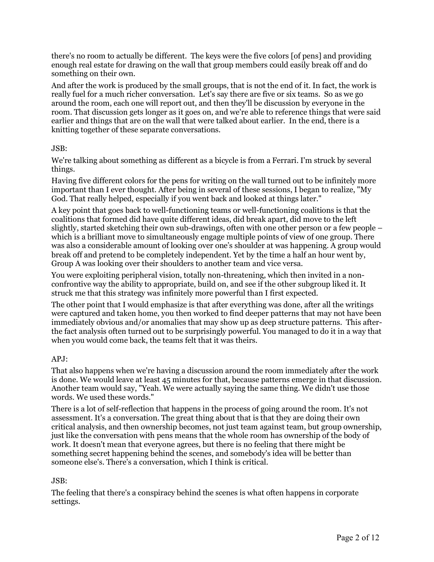there's no room to actually be different. The keys were the five colors [of pens] and providing enough real estate for drawing on the wall that group members could easily break off and do something on their own.

And after the work is produced by the small groups, that is not the end of it. In fact, the work is really fuel for a much richer conversation. Let's say there are five or six teams. So as we go around the room, each one will report out, and then they'll be discussion by everyone in the room. That discussion gets longer as it goes on, and we're able to reference things that were said earlier and things that are on the wall that were talked about earlier. In the end, there is a knitting together of these separate conversations.

## JSB:

We're talking about something as different as a bicycle is from a Ferrari. I'm struck by several things.

Having five different colors for the pens for writing on the wall turned out to be infinitely more important than I ever thought. After being in several of these sessions, I began to realize, "My God. That really helped, especially if you went back and looked at things later."

A key point that goes back to well-functioning teams or well-functioning coalitions is that the coalitions that formed did have quite different ideas, did break apart, did move to the left slightly, started sketching their own sub-drawings, often with one other person or a few people – which is a brilliant move to simultaneously engage multiple points of view of one group. There was also a considerable amount of looking over one's shoulder at was happening. A group would break off and pretend to be completely independent. Yet by the time a half an hour went by, Group A was looking over their shoulders to another team and vice versa.

You were exploiting peripheral vision, totally non-threatening, which then invited in a nonconfrontive way the ability to appropriate, build on, and see if the other subgroup liked it. It struck me that this strategy was infinitely more powerful than I first expected.

The other point that I would emphasize is that after everything was done, after all the writings were captured and taken home, you then worked to find deeper patterns that may not have been immediately obvious and/or anomalies that may show up as deep structure patterns. This afterthe fact analysis often turned out to be surprisingly powerful. You managed to do it in a way that when you would come back, the teams felt that it was theirs.

## APJ:

That also happens when we're having a discussion around the room immediately after the work is done. We would leave at least 45 minutes for that, because patterns emerge in that discussion. Another team would say, "Yeah. We were actually saying the same thing. We didn't use those words. We used these words."

There is a lot of self-reflection that happens in the process of going around the room. It's not assessment. It's a conversation. The great thing about that is that they are doing their own critical analysis, and then ownership becomes, not just team against team, but group ownership, just like the conversation with pens means that the whole room has ownership of the body of work. It doesn't mean that everyone agrees, but there is no feeling that there might be something secret happening behind the scenes, and somebody's idea will be better than someone else's. There's a conversation, which I think is critical.

## JSB:

The feeling that there's a conspiracy behind the scenes is what often happens in corporate settings.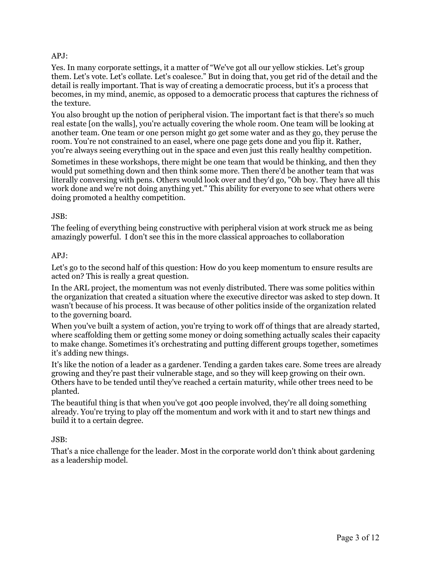## APJ:

Yes. In many corporate settings, it a matter of "We've got all our yellow stickies. Let's group them. Let's vote. Let's collate. Let's coalesce." But in doing that, you get rid of the detail and the detail is really important. That is way of creating a democratic process, but it's a process that becomes, in my mind, anemic, as opposed to a democratic process that captures the richness of the texture.

You also brought up the notion of peripheral vision. The important fact is that there's so much real estate [on the walls], you're actually covering the whole room. One team will be looking at another team. One team or one person might go get some water and as they go, they peruse the room. You're not constrained to an easel, where one page gets done and you flip it. Rather, you're always seeing everything out in the space and even just this really healthy competition.

Sometimes in these workshops, there might be one team that would be thinking, and then they would put something down and then think some more. Then there'd be another team that was literally conversing with pens. Others would look over and they'd go, "Oh boy. They have all this work done and we're not doing anything yet." This ability for everyone to see what others were doing promoted a healthy competition.

#### JSB:

The feeling of everything being constructive with peripheral vision at work struck me as being amazingly powerful. I don't see this in the more classical approaches to collaboration

#### $APJ:$

Let's go to the second half of this question: How do you keep momentum to ensure results are acted on? This is really a great question.

In the ARL project, the momentum was not evenly distributed. There was some politics within the organization that created a situation where the executive director was asked to step down. It wasn't because of his process. It was because of other politics inside of the organization related to the governing board.

When you've built a system of action, you're trying to work off of things that are already started, where scaffolding them or getting some money or doing something actually scales their capacity to make change. Sometimes it's orchestrating and putting different groups together, sometimes it's adding new things.

It's like the notion of a leader as a gardener. Tending a garden takes care. Some trees are already growing and they're past their vulnerable stage, and so they will keep growing on their own. Others have to be tended until they've reached a certain maturity, while other trees need to be planted.

The beautiful thing is that when you've got 400 people involved, they're all doing something already. You're trying to play off the momentum and work with it and to start new things and build it to a certain degree.

## JSB:

That's a nice challenge for the leader. Most in the corporate world don't think about gardening as a leadership model.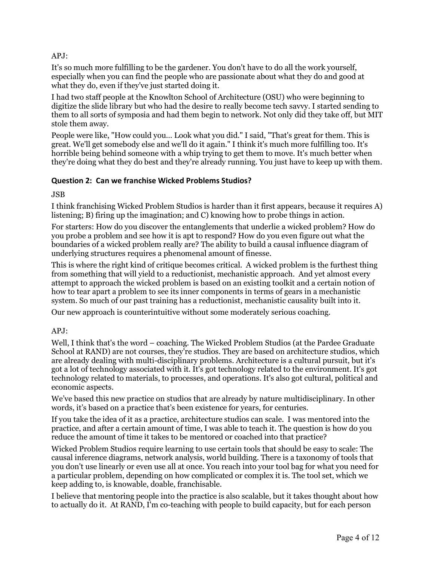# APJ:

It's so much more fulfilling to be the gardener. You don't have to do all the work yourself, especially when you can find the people who are passionate about what they do and good at what they do, even if they've just started doing it.

I had two staff people at the Knowlton School of Architecture (OSU) who were beginning to digitize the slide library but who had the desire to really become tech savvy. I started sending to them to all sorts of symposia and had them begin to network. Not only did they take off, but MIT stole them away.

People were like, "How could you… Look what you did." I said, "That's great for them. This is great. We'll get somebody else and we'll do it again." I think it's much more fulfilling too. It's horrible being behind someone with a whip trying to get them to move. It's much better when they're doing what they do best and they're already running. You just have to keep up with them.

#### **Question 2: Can we franchise Wicked Problems Studios?**

JSB

I think franchising Wicked Problem Studios is harder than it first appears, because it requires A) listening; B) firing up the imagination; and C) knowing how to probe things in action.

For starters: How do you discover the entanglements that underlie a wicked problem? How do you probe a problem and see how it is apt to respond? How do you even figure out what the boundaries of a wicked problem really are? The ability to build a causal influence diagram of underlying structures requires a phenomenal amount of finesse.

This is where the right kind of critique becomes critical. A wicked problem is the furthest thing from something that will yield to a reductionist, mechanistic approach. And yet almost every attempt to approach the wicked problem is based on an existing toolkit and a certain notion of how to tear apart a problem to see its inner components in terms of gears in a mechanistic system. So much of our past training has a reductionist, mechanistic causality built into it.

Our new approach is counterintuitive without some moderately serious coaching.

## APJ:

Well, I think that's the word – coaching. The Wicked Problem Studios (at the Pardee Graduate School at RAND) are not courses, they're studios. They are based on architecture studios, which are already dealing with multi-disciplinary problems. Architecture is a cultural pursuit, but it's got a lot of technology associated with it. It's got technology related to the environment. It's got technology related to materials, to processes, and operations. It's also got cultural, political and economic aspects.

We've based this new practice on studios that are already by nature multidisciplinary. In other words, it's based on a practice that's been existence for years, for centuries.

If you take the idea of it as a practice, architecture studios can scale. I was mentored into the practice, and after a certain amount of time, I was able to teach it. The question is how do you reduce the amount of time it takes to be mentored or coached into that practice?

Wicked Problem Studios require learning to use certain tools that should be easy to scale: The causal inference diagrams, network analysis, world building. There is a taxonomy of tools that you don't use linearly or even use all at once. You reach into your tool bag for what you need for a particular problem, depending on how complicated or complex it is. The tool set, which we keep adding to, is knowable, doable, franchisable.

I believe that mentoring people into the practice is also scalable, but it takes thought about how to actually do it. At RAND, I'm co-teaching with people to build capacity, but for each person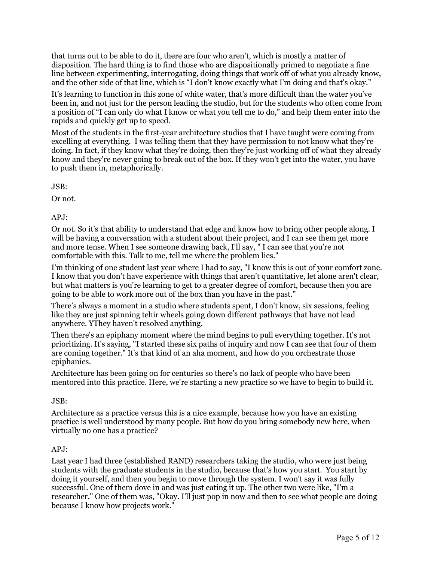that turns out to be able to do it, there are four who aren't, which is mostly a matter of disposition. The hard thing is to find those who are dispositionally primed to negotiate a fine line between experimenting, interrogating, doing things that work off of what you already know, and the other side of that line, which is "I don't know exactly what I'm doing and that's okay."

It's learning to function in this zone of white water, that's more difficult than the water you've been in, and not just for the person leading the studio, but for the students who often come from a position of "I can only do what I know or what you tell me to do," and help them enter into the rapids and quickly get up to speed.

Most of the students in the first-year architecture studios that I have taught were coming from excelling at everything. I was telling them that they have permission to not know what they're doing. In fact, if they know what they're doing, then they're just working off of what they already know and they're never going to break out of the box. If they won't get into the water, you have to push them in, metaphorically.

JSB:

Or not.

 $APJ:$ 

Or not. So it's that ability to understand that edge and know how to bring other people along. I will be having a conversation with a student about their project, and I can see them get more and more tense. When I see someone drawing back, I'll say, " I can see that you're not comfortable with this. Talk to me, tell me where the problem lies."

I'm thinking of one student last year where I had to say, "I know this is out of your comfort zone. I know that you don't have experience with things that aren't quantitative, let alone aren't clear, but what matters is you're learning to get to a greater degree of comfort, because then you are going to be able to work more out of the box than you have in the past."

There's always a moment in a studio where students spent, I don't know, six sessions, feeling like they are just spinning tehir wheels going down different pathways that have not lead anywhere. YThey haven't resolved anything.

Then there's an epiphany moment where the mind begins to pull everything together. It's not prioritizing. It's saying, "I started these six paths of inquiry and now I can see that four of them are coming together." It's that kind of an aha moment, and how do you orchestrate those epiphanies.

Architecture has been going on for centuries so there's no lack of people who have been mentored into this practice. Here, we're starting a new practice so we have to begin to build it.

JSB:

Architecture as a practice versus this is a nice example, because how you have an existing practice is well understood by many people. But how do you bring somebody new here, when virtually no one has a practice?

## APJ:

Last year I had three (established RAND) researchers taking the studio, who were just being students with the graduate students in the studio, because that's how you start. You start by doing it yourself, and then you begin to move through the system. I won't say it was fully successful. One of them dove in and was just eating it up. The other two were like, "I'm a researcher." One of them was, "Okay. I'll just pop in now and then to see what people are doing because I know how projects work."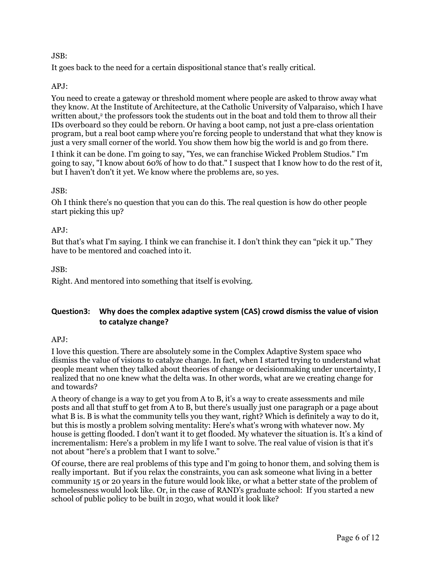## JSB:

It goes back to the need for a certain dispositional stance that's really critical.

## APJ:

You need to create a gateway or threshold moment where people are asked to throw away what they know. At the Institute of Architecture, at the Catholic University of Valparaiso, which I have written about,<sup>2</sup> the professors took the students out in the boat and told them to throw all their IDs overboard so they could be reborn. Or having a boot camp, not just a pre-class orientation program, but a real boot camp where you're forcing people to understand that what they know is just a very small corner of the world. You show them how big the world is and go from there.

I think it can be done. I'm going to say, "Yes, we can franchise Wicked Problem Studios." I'm going to say, "I know about 60% of how to do that." I suspect that I know how to do the rest of it, but I haven't don't it yet. We know where the problems are, so yes.

## JSB:

Oh I think there's no question that you can do this. The real question is how do other people start picking this up?

## APJ:

But that's what I'm saying. I think we can franchise it. I don't think they can "pick it up." They have to be mentored and coached into it.

## JSB:

Right. And mentored into something that itself is evolving.

# **Question3: Why does the complex adaptive system (CAS) crowd dismiss the value of vision to catalyze change?**

## APJ:

I love this question. There are absolutely some in the Complex Adaptive System space who dismiss the value of visions to catalyze change. In fact, when I started trying to understand what people meant when they talked about theories of change or decisionmaking under uncertainty, I realized that no one knew what the delta was. In other words, what are we creating change for and towards?

A theory of change is a way to get you from A to B, it's a way to create assessments and mile posts and all that stuff to get from A to B, but there's usually just one paragraph or a page about what B is. B is what the community tells you they want, right? Which is definitely a way to do it, but this is mostly a problem solving mentality: Here's what's wrong with whatever now. My house is getting flooded. I don't want it to get flooded. My whatever the situation is. It's a kind of incrementalism: Here's a problem in my life I want to solve. The real value of vision is that it's not about "here's a problem that I want to solve."

Of course, there are real problems of this type and I'm going to honor them, and solving them is really important. But if you relax the constraints, you can ask someone what living in a better community 15 or 20 years in the future would look like, or what a better state of the problem of homelessness would look like. Or, in the case of RAND's graduate school: If you started a new school of public policy to be built in 2030, what would it look like?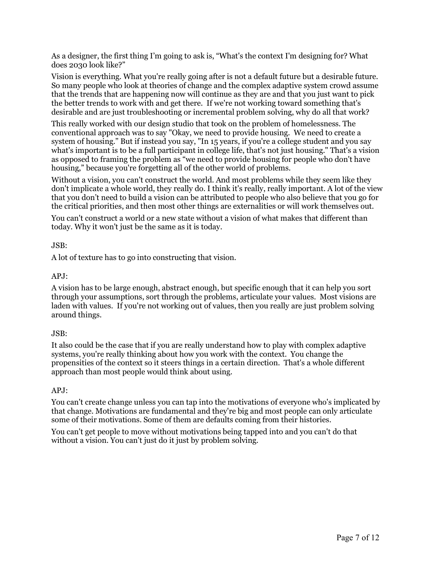As a designer, the first thing I'm going to ask is, "What's the context I'm designing for? What does 2030 look like?"

Vision is everything. What you're really going after is not a default future but a desirable future. So many people who look at theories of change and the complex adaptive system crowd assume that the trends that are happening now will continue as they are and that you just want to pick the better trends to work with and get there. If we're not working toward something that's desirable and are just troubleshooting or incremental problem solving, why do all that work?

This really worked with our design studio that took on the problem of homelessness. The conventional approach was to say "Okay, we need to provide housing. We need to create a system of housing." But if instead you say, "In 15 years, if you're a college student and you say what's important is to be a full participant in college life, that's not just housing." That's a vision as opposed to framing the problem as "we need to provide housing for people who don't have housing," because you're forgetting all of the other world of problems.

Without a vision, you can't construct the world. And most problems while they seem like they don't implicate a whole world, they really do. I think it's really, really important. A lot of the view that you don't need to build a vision can be attributed to people who also believe that you go for the critical priorities, and then most other things are externalities or will work themselves out.

You can't construct a world or a new state without a vision of what makes that different than today. Why it won't just be the same as it is today.

## JSB:

A lot of texture has to go into constructing that vision.

#### APJ:

A vision has to be large enough, abstract enough, but specific enough that it can help you sort through your assumptions, sort through the problems, articulate your values. Most visions are laden with values. If you're not working out of values, then you really are just problem solving around things.

#### JSB:

It also could be the case that if you are really understand how to play with complex adaptive systems, you're really thinking about how you work with the context. You change the propensities of the context so it steers things in a certain direction. That's a whole different approach than most people would think about using.

#### APJ:

You can't create change unless you can tap into the motivations of everyone who's implicated by that change. Motivations are fundamental and they're big and most people can only articulate some of their motivations. Some of them are defaults coming from their histories.

You can't get people to move without motivations being tapped into and you can't do that without a vision. You can't just do it just by problem solving.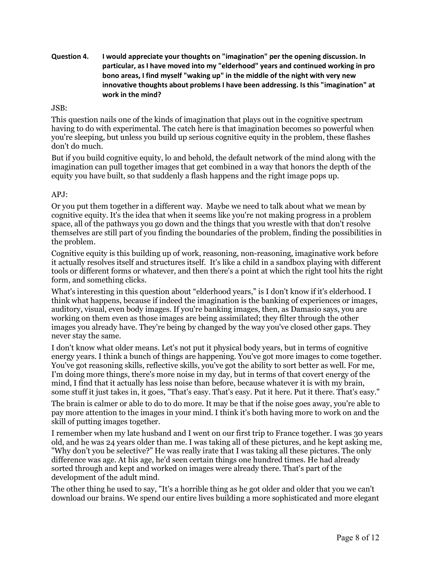**Question 4. I would appreciate your thoughts on "imagination" per the opening discussion. In particular, as I have moved into my "elderhood" years and continued working in pro bono areas, I find myself "waking up" in the middle of the night with very new innovative thoughts about problems I have been addressing. Is this "imagination" at work in the mind?**

#### JSB:

This question nails one of the kinds of imagination that plays out in the cognitive spectrum having to do with experimental. The catch here is that imagination becomes so powerful when you're sleeping, but unless you build up serious cognitive equity in the problem, these flashes don't do much.

But if you build cognitive equity, lo and behold, the default network of the mind along with the imagination can pull together images that get combined in a way that honors the depth of the equity you have built, so that suddenly a flash happens and the right image pops up.

## $APJ:$

Or you put them together in a different way. Maybe we need to talk about what we mean by cognitive equity. It's the idea that when it seems like you're not making progress in a problem space, all of the pathways you go down and the things that you wrestle with that don't resolve themselves are still part of you finding the boundaries of the problem, finding the possibilities in the problem.

Cognitive equity is this building up of work, reasoning, non-reasoning, imaginative work before it actually resolves itself and structures itself. It's like a child in a sandbox playing with different tools or different forms or whatever, and then there's a point at which the right tool hits the right form, and something clicks.

What's interesting in this question about "elderhood years," is I don't know if it's elderhood. I think what happens, because if indeed the imagination is the banking of experiences or images, auditory, visual, even body images. If you're banking images, then, as Damasio says, you are working on them even as those images are being assimilated; they filter through the other images you already have. They're being by changed by the way you've closed other gaps. They never stay the same.

I don't know what older means. Let's not put it physical body years, but in terms of cognitive energy years. I think a bunch of things are happening. You've got more images to come together. You've got reasoning skills, reflective skills, you've got the ability to sort better as well. For me, I'm doing more things, there's more noise in my day, but in terms of that covert energy of the mind, I find that it actually has less noise than before, because whatever it is with my brain, some stuff it just takes in, it goes, "That's easy. That's easy. Put it here. Put it there. That's easy."

The brain is calmer or able to do to do more. It may be that if the noise goes away, you're able to pay more attention to the images in your mind. I think it's both having more to work on and the skill of putting images together.

I remember when my late husband and I went on our first trip to France together. I was 30 years old, and he was 24 years older than me. I was taking all of these pictures, and he kept asking me, "Why don't you be selective?" He was really irate that I was taking all these pictures. The only difference was age. At his age, he'd seen certain things one hundred times. He had already sorted through and kept and worked on images were already there. That's part of the development of the adult mind.

The other thing he used to say, "It's a horrible thing as he got older and older that you we can't download our brains. We spend our entire lives building a more sophisticated and more elegant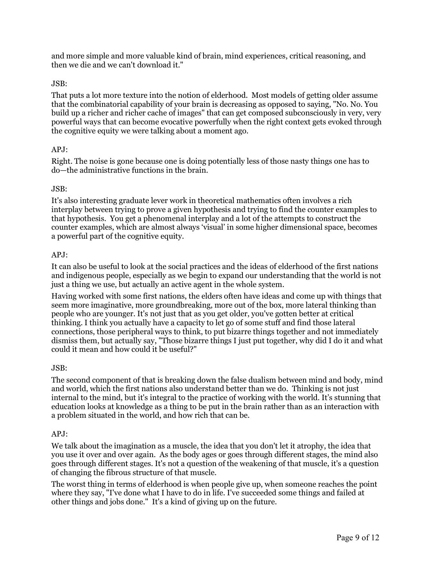and more simple and more valuable kind of brain, mind experiences, critical reasoning, and then we die and we can't download it."

## JSB:

That puts a lot more texture into the notion of elderhood. Most models of getting older assume that the combinatorial capability of your brain is decreasing as opposed to saying, "No. No. You build up a richer and richer cache of images" that can get composed subconsciously in very, very powerful ways that can become evocative powerfully when the right context gets evoked through the cognitive equity we were talking about a moment ago.

## APJ:

Right. The noise is gone because one is doing potentially less of those nasty things one has to do—the administrative functions in the brain.

## JSB:

It's also interesting graduate lever work in theoretical mathematics often involves a rich interplay between trying to prove a given hypothesis and trying to find the counter examples to that hypothesis. You get a phenomenal interplay and a lot of the attempts to construct the counter examples, which are almost always 'visual' in some higher dimensional space, becomes a powerful part of the cognitive equity.

## APJ:

It can also be useful to look at the social practices and the ideas of elderhood of the first nations and indigenous people, especially as we begin to expand our understanding that the world is not just a thing we use, but actually an active agent in the whole system.

Having worked with some first nations, the elders often have ideas and come up with things that seem more imaginative, more groundbreaking, more out of the box, more lateral thinking than people who are younger. It's not just that as you get older, you've gotten better at critical thinking. I think you actually have a capacity to let go of some stuff and find those lateral connections, those peripheral ways to think, to put bizarre things together and not immediately dismiss them, but actually say, "Those bizarre things I just put together, why did I do it and what could it mean and how could it be useful?"

## JSB:

The second component of that is breaking down the false dualism between mind and body, mind and world, which the first nations also understand better than we do. Thinking is not just internal to the mind, but it's integral to the practice of working with the world. It's stunning that education looks at knowledge as a thing to be put in the brain rather than as an interaction with a problem situated in the world, and how rich that can be.

## APJ:

We talk about the imagination as a muscle, the idea that you don't let it atrophy, the idea that you use it over and over again. As the body ages or goes through different stages, the mind also goes through different stages. It's not a question of the weakening of that muscle, it's a question of changing the fibrous structure of that muscle.

The worst thing in terms of elderhood is when people give up, when someone reaches the point where they say, "I've done what I have to do in life. I've succeeded some things and failed at other things and jobs done." It's a kind of giving up on the future.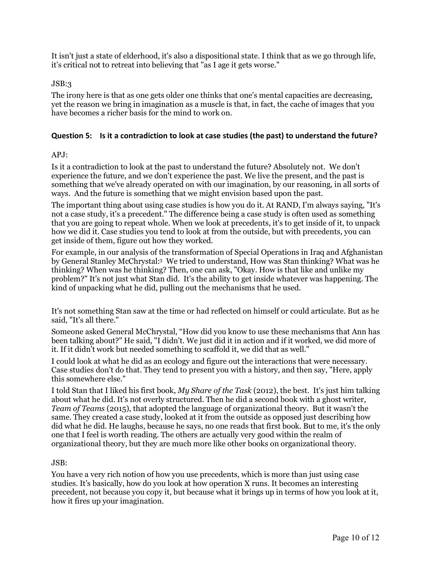It isn't just a state of elderhood, it's also a dispositional state. I think that as we go through life, it's critical not to retreat into believing that "as I age it gets worse."

#### JSB:3

The irony here is that as one gets older one thinks that one's mental capacities are decreasing, yet the reason we bring in imagination as a muscle is that, in fact, the cache of images that you have becomes a richer basis for the mind to work on.

#### **Question 5: Is it a contradiction to look at case studies (the past) to understand the future?**

#### APJ:

Is it a contradiction to look at the past to understand the future? Absolutely not. We don't experience the future, and we don't experience the past. We live the present, and the past is something that we've already operated on with our imagination, by our reasoning, in all sorts of ways. And the future is something that we might envision based upon the past.

The important thing about using case studies is how you do it. At RAND, I'm always saying, "It's not a case study, it's a precedent." The difference being a case study is often used as something that you are going to repeat whole. When we look at precedents, it's to get inside of it, to unpack how we did it. Case studies you tend to look at from the outside, but with precedents, you can get inside of them, figure out how they worked.

For example, in our analysis of the transformation of Special Operations in Iraq and Afghanistan by General Stanley McChrystal:3 We tried to understand, How was Stan thinking? What was he thinking? When was he thinking? Then, one can ask, "Okay. How is that like and unlike my problem?" It's not just what Stan did. It's the ability to get inside whatever was happening. The kind of unpacking what he did, pulling out the mechanisms that he used.

It's not something Stan saw at the time or had reflected on himself or could articulate. But as he said, "It's all there."

Someone asked General McChrystal, "How did you know to use these mechanisms that Ann has been talking about?" He said, "I didn't. We just did it in action and if it worked, we did more of it. If it didn't work but needed something to scaffold it, we did that as well."

I could look at what he did as an ecology and figure out the interactions that were necessary. Case studies don't do that. They tend to present you with a history, and then say, "Here, apply this somewhere else."

I told Stan that I liked his first book, *My Share of the Task* (2012), the best. It's just him talking about what he did. It's not overly structured. Then he did a second book with a ghost writer, *Team of Teams* (2015), that adopted the language of organizational theory. But it wasn't the same. They created a case study, looked at it from the outside as opposed just describing how did what he did. He laughs, because he says, no one reads that first book. But to me, it's the only one that I feel is worth reading. The others are actually very good within the realm of organizational theory, but they are much more like other books on organizational theory.

#### JSB:

You have a very rich notion of how you use precedents, which is more than just using case studies. It's basically, how do you look at how operation X runs. It becomes an interesting precedent, not because you copy it, but because what it brings up in terms of how you look at it, how it fires up your imagination.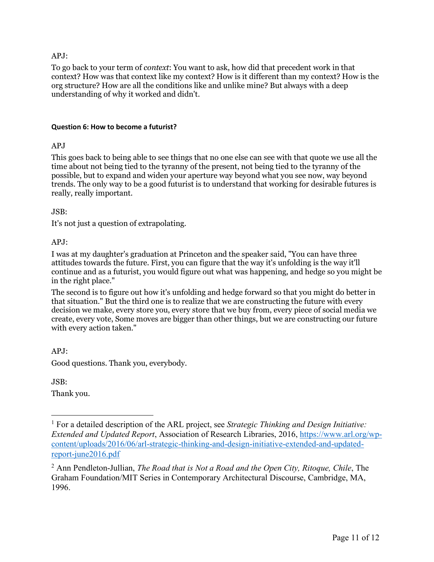#### APJ:

To go back to your term of *context*: You want to ask, how did that precedent work in that context? How was that context like my context? How is it different than my context? How is the org structure? How are all the conditions like and unlike mine? But always with a deep understanding of why it worked and didn't.

#### **Question 6: How to become a futurist?**

#### APJ<sub>1</sub>

This goes back to being able to see things that no one else can see with that quote we use all the time about not being tied to the tyranny of the present, not being tied to the tyranny of the possible, but to expand and widen your aperture way beyond what you see now, way beyond trends. The only way to be a good futurist is to understand that working for desirable futures is really, really important.

#### JSB:

It's not just a question of extrapolating.

#### APJ:

I was at my daughter's graduation at Princeton and the speaker said, "You can have three attitudes towards the future. First, you can figure that the way it's unfolding is the way it'll continue and as a futurist, you would figure out what was happening, and hedge so you might be in the right place."

The second is to figure out how it's unfolding and hedge forward so that you might do better in that situation." But the third one is to realize that we are constructing the future with every decision we make, every store you, every store that we buy from, every piece of social media we create, every vote, Some moves are bigger than other things, but we are constructing our future with every action taken."

APJ: Good questions. Thank you, everybody.

JSB:

 $\overline{a}$ 

Thank you.

<sup>1</sup> For a detailed description of the ARL project, see *Strategic Thinking and Design Initiative: Extended and Updated Report*, Association of Research Libraries, 2016, https://www.arl.org/wpcontent/uploads/2016/06/arl-strategic-thinking-and-design-initiative-extended-and-updatedreport-june2016.pdf

<sup>2</sup> Ann Pendleton-Jullian, *The Road that is Not a Road and the Open City, Ritoque, Chile*, The Graham Foundation/MIT Series in Contemporary Architectural Discourse, Cambridge, MA, 1996.